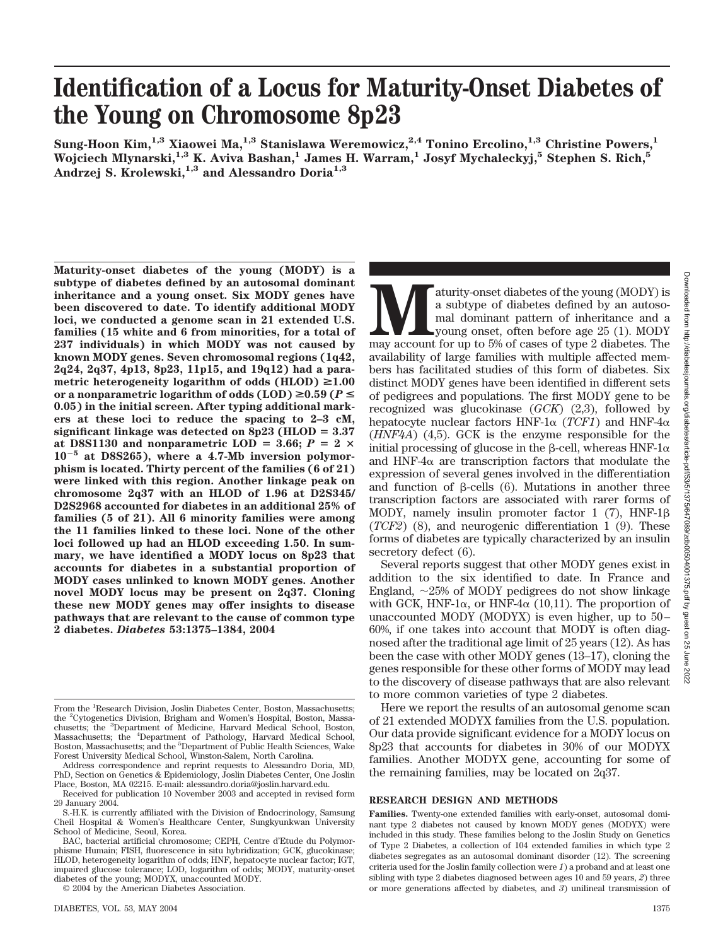# **Identification of a Locus for Maturity-Onset Diabetes of the Young on Chromosome 8p23**

**Sung-Hoon Kim,1,3 Xiaowei Ma,1,3 Stanislawa Weremowicz,2,4 Tonino Ercolino,1,3 Christine Powers,1 Wojciech Mlynarski,1,3 K. Aviva Bashan,1 James H. Warram,1 Josyf Mychaleckyj,5 Stephen S. Rich,5 Andrzej S. Krolewski,1,3 and Alessandro Doria1,3**

**Maturity-onset diabetes of the young (MODY) is a subtype of diabetes defined by an autosomal dominant inheritance and a young onset. Six MODY genes have been discovered to date. To identify additional MODY loci, we conducted a genome scan in 21 extended U.S. families (15 white and 6 from minorities, for a total of 237 individuals) in which MODY was not caused by known MODY genes. Seven chromosomal regions (1q42, 2q24, 2q37, 4p13, 8p23, 11p15, and 19q12) had a para**metric heterogeneity logarithm of odds  $(HLOD) \ge 1.00$ or a nonparametric logarithm of odds  $(LOD) \ge 0.59$  ( $P \le$ **0.05) in the initial screen. After typing additional markers at these loci to reduce the spacing to 2–3 cM, significant linkage was detected on 8p23 (HLOD 3.37** at D8S1130 and nonparametric LOD = 3.66;  $P = 2 \times$ **10<sup>5</sup> at D8S265), where a 4.7-Mb inversion polymorphism is located. Thirty percent of the families (6 of 21) were linked with this region. Another linkage peak on chromosome 2q37 with an HLOD of 1.96 at D2S345/ D2S2968 accounted for diabetes in an additional 25% of families (5 of 21). All 6 minority families were among the 11 families linked to these loci. None of the other loci followed up had an HLOD exceeding 1.50. In summary, we have identified a MODY locus on 8p23 that accounts for diabetes in a substantial proportion of MODY cases unlinked to known MODY genes. Another novel MODY locus may be present on 2q37. Cloning these new MODY genes may offer insights to disease pathways that are relevant to the cause of common type 2 diabetes.** *Diabetes* **53:1375–1384, 2004**

© 2004 by the American Diabetes Association.

aturity-onset diabetes of the young (MODY) is<br>a subtype of diabetes defined by an autoso-<br>mal dominant pattern of inheritance and a<br>young onset, often before age 25 (1). MODY<br>may account for up to 5% of cases of type 2 dia a subtype of diabetes defined by an autosomal dominant pattern of inheritance and a young onset, often before age 25 (1). MODY availability of large families with multiple affected members has facilitated studies of this form of diabetes. Six distinct MODY genes have been identified in different sets of pedigrees and populations. The first MODY gene to be recognized was glucokinase (*GCK*) (2,3), followed by hepatocyte nuclear factors HNF-1 $\alpha$  (*TCF1*) and HNF-4 $\alpha$ (*HNF4A*) (4,5). GCK is the enzyme responsible for the initial processing of glucose in the β-cell, whereas HNF-1 $\alpha$ and HNF-4 $\alpha$  are transcription factors that modulate the expression of several genes involved in the differentiation and function of  $\beta$ -cells (6). Mutations in another three transcription factors are associated with rarer forms of MODY, namely insulin promoter factor  $1$  (7), HNF-1 $\beta$ (*TCF2*) (8), and neurogenic differentiation 1 (9). These forms of diabetes are typically characterized by an insulin secretory defect (6).

Several reports suggest that other MODY genes exist in addition to the six identified to date. In France and England,  $\sim$ 25% of MODY pedigrees do not show linkage with GCK, HNF-1 $\alpha$ , or HNF-4 $\alpha$  (10,11). The proportion of unaccounted MODY (MODYX) is even higher, up to 50– 60%, if one takes into account that MODY is often diagnosed after the traditional age limit of 25 years (12). As has been the case with other MODY genes (13–17), cloning the genes responsible for these other forms of MODY may lead to the discovery of disease pathways that are also relevant to more common varieties of type 2 diabetes.

Here we report the results of an autosomal genome scan of 21 extended MODYX families from the U.S. population. Our data provide significant evidence for a MODY locus on 8p23 that accounts for diabetes in 30% of our MODYX families. Another MODYX gene, accounting for some of the remaining families, may be located on 2q37.

## **RESEARCH DESIGN AND METHODS**

**Families.** Twenty-one extended families with early-onset, autosomal dominant type 2 diabetes not caused by known MODY genes (MODYX) were included in this study. These families belong to the Joslin Study on Genetics of Type 2 Diabetes, a collection of 104 extended families in which type 2 diabetes segregates as an autosomal dominant disorder (12). The screening criteria used for the Joslin family collection were *1*) a proband and at least one sibling with type 2 diabetes diagnosed between ages 10 and 59 years, *2*) three or more generations affected by diabetes, and *3*) unilineal transmission of

From the <sup>1</sup>Research Division, Joslin Diabetes Center, Boston, Massachusetts; the <sup>2</sup> Cytogenetics Division, Brigham and Women's Hospital, Boston, Massachusetts; the <sup>3</sup> Department of Medicine, Harvard Medical School, Boston, Massachusetts; the <sup>4</sup> Department of Pathology, Harvard Medical School, Boston, Massachusetts; and the <sup>5</sup>Department of Public Health Sciences, Wake Forest University Medical School, Winston-Salem, North Carolina.

Address correspondence and reprint requests to Alessandro Doria, MD, PhD, Section on Genetics & Epidemiology, Joslin Diabetes Center, One Joslin Place, Boston, MA 02215. E-mail: alessandro.doria@joslin.harvard.edu.

Received for publication 10 November 2003 and accepted in revised form 29 January 2004.

S.-H.K. is currently affiliated with the Division of Endocrinology, Samsung Cheil Hospital & Women's Healthcare Center, Sungkyunkwan University School of Medicine, Seoul, Korea.

BAC, bacterial artificial chromosome; CEPH, Centre d'Etude du Polymorphisme Humain; FISH, fluorescence in situ hybridization; GCK, glucokinase; HLOD, heterogeneity logarithm of odds; HNF, hepatocyte nuclear factor; IGT, impaired glucose tolerance; LOD, logarithm of odds; MODY, maturity-onset diabetes of the young; MODYX, unaccounted MODY.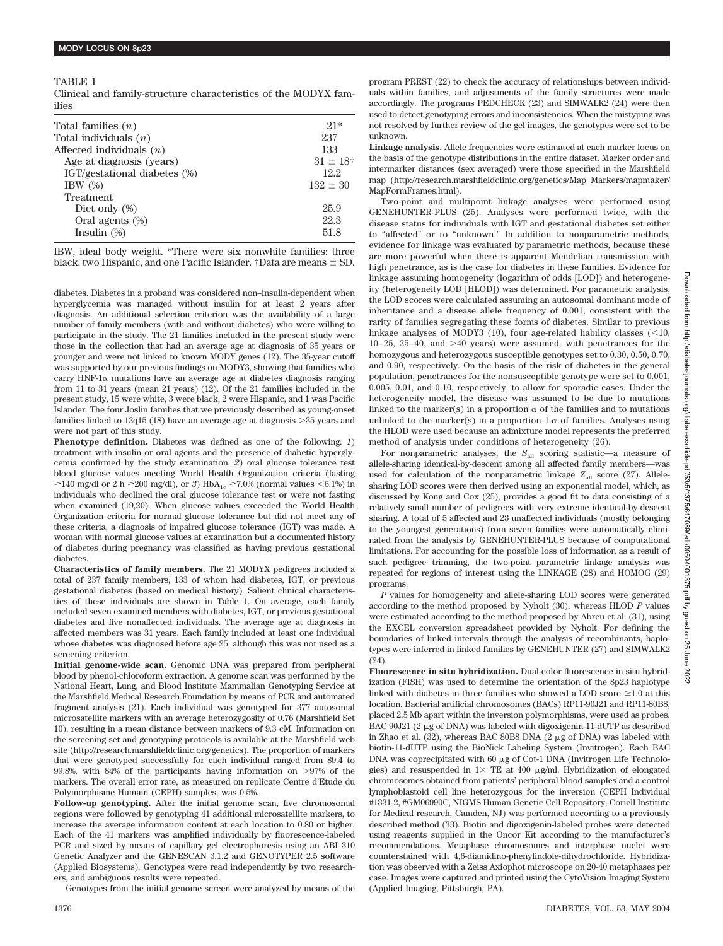#### TABLE 1

Clinical and family-structure characteristics of the MODYX families

| Total families $(n)$         | $21*$         |
|------------------------------|---------------|
| Total individuals $(n)$      | 237           |
| Affected individuals $(n)$   | 133           |
| Age at diagnosis (years)     | $31 \pm 18$ † |
| IGT/gestational diabetes (%) | 12.2          |
| IBW $(\%)$                   | $132 \pm 30$  |
| Treatment                    |               |
| Diet only $(\%)$             | 25.9          |
| Oral agents (%)              | 22.3          |
| Insulin $(\%)$               | 51.8          |
|                              |               |

IBW, ideal body weight. \*There were six nonwhite families: three black, two Hispanic, and one Pacific Islander. †Data are means  $\pm$  SD.

diabetes. Diabetes in a proband was considered non–insulin-dependent when hyperglycemia was managed without insulin for at least 2 years after diagnosis. An additional selection criterion was the availability of a large number of family members (with and without diabetes) who were willing to participate in the study. The 21 families included in the present study were those in the collection that had an average age at diagnosis of 35 years or younger and were not linked to known MODY genes (12). The 35-year cutoff was supported by our previous findings on MODY3, showing that families who carry HNF- $1\alpha$  mutations have an average age at diabetes diagnosis ranging from 11 to 31 years (mean 21 years) (12). Of the 21 families included in the present study, 15 were white, 3 were black, 2 were Hispanic, and 1 was Pacific Islander. The four Joslin families that we previously described as young-onset families linked to 12q15 (18) have an average age at diagnosis 35 years and were not part of this study.

**Phenotype definition.** Diabetes was defined as one of the following: *1*) treatment with insulin or oral agents and the presence of diabetic hyperglycemia confirmed by the study examination, *2*) oral glucose tolerance test blood glucose values meeting World Health Organization criteria (fasting  $\geq$ 140 mg/dl or 2 h  $\geq$ 200 mg/dl), or 3) HbA<sub>1c</sub>  $\geq$ 7.0% (normal values <6.1%) in individuals who declined the oral glucose tolerance test or were not fasting when examined (19,20). When glucose values exceeded the World Health Organization criteria for normal glucose tolerance but did not meet any of these criteria, a diagnosis of impaired glucose tolerance (IGT) was made. A woman with normal glucose values at examination but a documented history of diabetes during pregnancy was classified as having previous gestational diabetes.

**Characteristics of family members.** The 21 MODYX pedigrees included a total of 237 family members, 133 of whom had diabetes, IGT, or previous gestational diabetes (based on medical history). Salient clinical characteristics of these individuals are shown in Table 1. On average, each family included seven examined members with diabetes, IGT, or previous gestational diabetes and five nonaffected individuals. The average age at diagnosis in affected members was 31 years. Each family included at least one individual whose diabetes was diagnosed before age 25, although this was not used as a screening criterion.

**Initial genome-wide scan.** Genomic DNA was prepared from peripheral blood by phenol-chloroform extraction. A genome scan was performed by the National Heart, Lung, and Blood Institute Mammalian Genotyping Service at the Marshfield Medical Research Foundation by means of PCR and automated fragment analysis (21). Each individual was genotyped for 377 autosomal microsatellite markers with an average heterozygosity of 0.76 (Marshfield Set 10), resulting in a mean distance between markers of 9.3 cM. Information on the screening set and genotyping protocols is available at the Marshfield web site (http://research.marshfieldclinic.org/genetics). The proportion of markers that were genotyped successfully for each individual ranged from 89.4 to 99.8%, with 84% of the participants having information on  $>97\%$  of the markers. The overall error rate, as measured on replicate Centre d'Etude du Polymorphisme Humain (CEPH) samples, was 0.5%.

**Follow-up genotyping.** After the initial genome scan, five chromosomal regions were followed by genotyping 41 additional microsatellite markers, to increase the average information content at each location to 0.80 or higher. Each of the 41 markers was amplified individually by fluorescence-labeled PCR and sized by means of capillary gel electrophoresis using an ABI 310 Genetic Analyzer and the GENESCAN 3.1.2 and GENOTYPER 2.5 software (Applied Biosystems). Genotypes were read independently by two researchers, and ambiguous results were repeated.

Genotypes from the initial genome screen were analyzed by means of the

program PREST (22) to check the accuracy of relationships between individuals within families, and adjustments of the family structures were made accordingly. The programs PEDCHECK (23) and SIMWALK2 (24) were then used to detect genotyping errors and inconsistencies. When the mistyping was not resolved by further review of the gel images, the genotypes were set to be unknown.

**Linkage analysis.** Allele frequencies were estimated at each marker locus on the basis of the genotype distributions in the entire dataset. Marker order and intermarker distances (sex averaged) were those specified in the Marshfield map (http://research.marshfieldclinic.org/genetics/Map\_Markers/mapmaker/ MapFormFrames.html).

Two-point and multipoint linkage analyses were performed using GENEHUNTER-PLUS (25). Analyses were performed twice, with the disease status for individuals with IGT and gestational diabetes set either to "affected" or to "unknown." In addition to nonparametric methods, evidence for linkage was evaluated by parametric methods, because these are more powerful when there is apparent Mendelian transmission with high penetrance, as is the case for diabetes in these families. Evidence for linkage assuming homogeneity (logarithm of odds [LOD]) and heterogeneity (heterogeneity LOD [HLOD]) was determined. For parametric analysis, the LOD scores were calculated assuming an autosomal dominant mode of inheritance and a disease allele frequency of 0.001, consistent with the rarity of families segregating these forms of diabetes. Similar to previous linkage analyses of MODY3 (10), four age-related liability classes  $\left($  < 10,  $10 - 25$ ,  $25 - 40$ , and  $>40$  years) were assumed, with penetrances for the homozygous and heterozygous susceptible genotypes set to 0.30, 0.50, 0.70, and 0.90, respectively. On the basis of the risk of diabetes in the general population, penetrances for the nonsusceptible genotype were set to 0.001, 0.005, 0.01, and 0.10, respectively, to allow for sporadic cases. Under the heterogeneity model, the disease was assumed to be due to mutations linked to the marker(s) in a proportion  $\alpha$  of the families and to mutations unlinked to the marker(s) in a proportion 1- $\alpha$  of families. Analyses using the HLOD were used because an admixture model represents the preferred method of analysis under conditions of heterogeneity (26).

For nonparametric analyses, the  $S_{all}$  scoring statistic—a measure of allele-sharing identical-by-descent among all affected family members—was used for calculation of the nonparametric linkage  $Z_{all}$  score (27). Allelesharing LOD scores were then derived using an exponential model, which, as discussed by Kong and Cox (25), provides a good fit to data consisting of a relatively small number of pedigrees with very extreme identical-by-descent sharing. A total of 5 affected and 23 unaffected individuals (mostly belonging to the youngest generations) from seven families were automatically eliminated from the analysis by GENEHUNTER-PLUS because of computational limitations. For accounting for the possible loss of information as a result of such pedigree trimming, the two-point parametric linkage analysis was repeated for regions of interest using the LINKAGE (28) and HOMOG (29) programs.

*P* values for homogeneity and allele-sharing LOD scores were generated according to the method proposed by Nyholt (30), whereas HLOD *P* values were estimated according to the method proposed by Abreu et al. (31), using the EXCEL conversion spreadsheet provided by Nyholt. For defining the boundaries of linked intervals through the analysis of recombinants, haplotypes were inferred in linked families by GENEHUNTER (27) and SIMWALK2 (24).

**Fluorescence in situ hybridization.** Dual-color fluorescence in situ hybridization (FISH) was used to determine the orientation of the 8p23 haplotype linked with diabetes in three families who showed a LOD score  $\geq 1.0$  at this location. Bacterial artificial chromosomes (BACs) RP11-90J21 and RP11-80B8, placed 2.5 Mb apart within the inversion polymorphisms, were used as probes. BAC 90J21  $(2 \mu g)$  of DNA) was labeled with digoxigenin-11-dUTP as described in Zhao et al.  $(32)$ , whereas BAC 80B8 DNA  $(2 \mu g)$  of DNA) was labeled with biotin-11-dUTP using the BioNick Labeling System (Invitrogen). Each BAC DNA was coprecipitated with  $60 \mu$ g of Cot-1 DNA (Invitrogen Life Technologies) and resuspended in  $1 \times$  TE at 400  $\mu$ g/ml. Hybridization of elongated chromosomes obtained from patients' peripheral blood samples and a control lymphoblastoid cell line heterozygous for the inversion (CEPH Individual #1331-2, #GM06990C, NIGMS Human Genetic Cell Repository, Coriell Institute for Medical research, Camden, NJ) was performed according to a previously described method (33). Biotin and digoxigenin-labeled probes were detected using reagents supplied in the Oncor Kit according to the manufacturer's recommendations. Metaphase chromosomes and interphase nuclei were counterstained with 4,6-diamidino-phenylindole-dihydrochloride. Hybridization was observed with a Zeiss Axiophot microscope on 20-40 metaphases per case. Images were captured and printed using the CytoVision Imaging System (Applied Imaging, Pittsburgh, PA).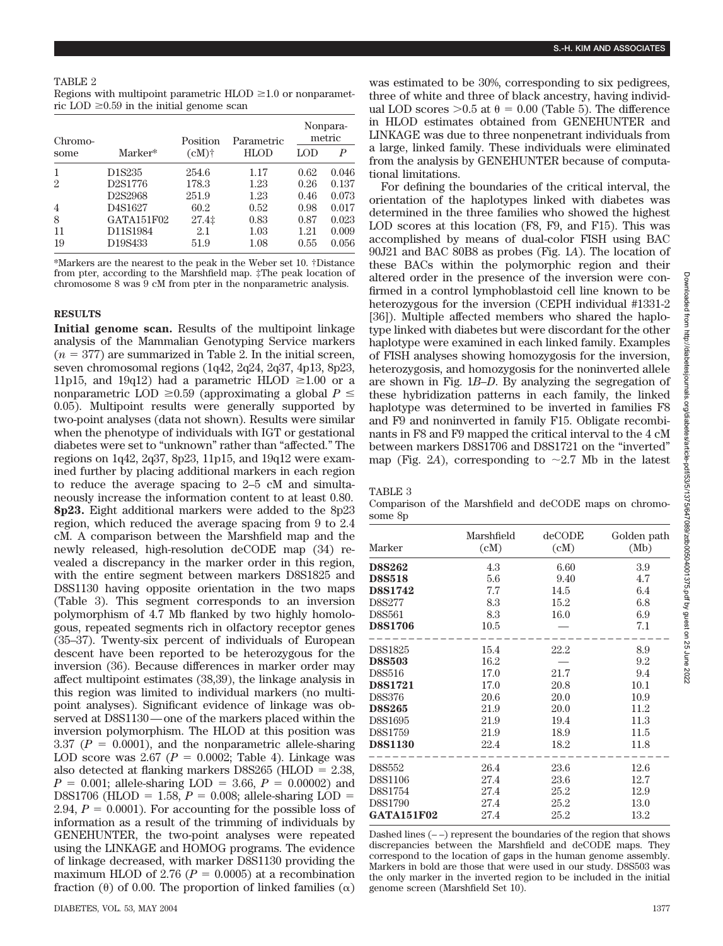Regions with multipoint parametric  $HLOD \geq 1.0$  or nonparametric LOD  $\geq 0.59$  in the initial genome scan

| Chromo-        |                                  | Position | Parametric  | Nonpara-<br>metric |       |
|----------------|----------------------------------|----------|-------------|--------------------|-------|
| some           | Marker*                          | $(cM)$ † | <b>HLOD</b> | LOD                | P     |
|                | D <sub>1</sub> S <sub>235</sub>  | 254.6    | 1.17        | 0.62               | 0.046 |
| $\overline{2}$ | D <sub>2</sub> S <sub>1776</sub> | 178.3    | 1.23        | 0.26               | 0.137 |
|                | D <sub>2</sub> S <sub>2968</sub> | 251.9    | 1.23        | 0.46               | 0.073 |
| $\overline{4}$ | D4S1627                          | 60.2     | 0.52        | 0.98               | 0.017 |
| 8              | GATA151F02                       | $27.4$ ‡ | 0.83        | 0.87               | 0.023 |
| 11             | D11S1984                         | 2.1      | $1.03\,$    | 1.21               | 0.009 |
| 19             | D19S433                          | 51.9     | 1.08        | 0.55               | 0.056 |

\*Markers are the nearest to the peak in the Weber set 10. †Distance from pter, according to the Marshfield map. ‡The peak location of chromosome 8 was 9 cM from pter in the nonparametric analysis.

## **RESULTS**

**Initial genome scan.** Results of the multipoint linkage analysis of the Mammalian Genotyping Service markers  $(n = 377)$  are summarized in Table 2. In the initial screen, seven chromosomal regions (1q42, 2q24, 2q37, 4p13, 8p23, 11p15, and 19q12) had a parametric HLOD  $\geq 1.00$  or a nonparametric LOD  $\geq 0.59$  (approximating a global  $P \leq$ 0.05). Multipoint results were generally supported by two-point analyses (data not shown). Results were similar when the phenotype of individuals with IGT or gestational diabetes were set to "unknown" rather than "affected." The regions on 1q42, 2q37, 8p23, 11p15, and 19q12 were examined further by placing additional markers in each region to reduce the average spacing to 2–5 cM and simultaneously increase the information content to at least 0.80. **8p23.** Eight additional markers were added to the 8p23 region, which reduced the average spacing from 9 to 2.4 cM. A comparison between the Marshfield map and the newly released, high-resolution deCODE map (34) revealed a discrepancy in the marker order in this region, with the entire segment between markers D8S1825 and D8S1130 having opposite orientation in the two maps (Table 3). This segment corresponds to an inversion polymorphism of 4.7 Mb flanked by two highly homologous, repeated segments rich in olfactory receptor genes (35–37). Twenty-six percent of individuals of European descent have been reported to be heterozygous for the inversion (36). Because differences in marker order may affect multipoint estimates (38,39), the linkage analysis in this region was limited to individual markers (no multipoint analyses). Significant evidence of linkage was observed at D8S1130—one of the markers placed within the inversion polymorphism. The HLOD at this position was 3.37 ( $P = 0.0001$ ), and the nonparametric allele-sharing LOD score was  $2.67$  ( $P = 0.0002$ ; Table 4). Linkage was also detected at flanking markers D8S265 (HLOD  $= 2.38$ ,  $P = 0.001$ ; allele-sharing LOD = 3.66,  $P = 0.00002$ ) and D8S1706 (HLOD = 1.58,  $P = 0.008$ ; allele-sharing LOD = 2.94,  $P = 0.0001$ ). For accounting for the possible loss of information as a result of the trimming of individuals by GENEHUNTER, the two-point analyses were repeated using the LINKAGE and HOMOG programs. The evidence of linkage decreased, with marker D8S1130 providing the maximum HLOD of 2.76 ( $P = 0.0005$ ) at a recombination fraction ( $\theta$ ) of 0.00. The proportion of linked families ( $\alpha$ )

was estimated to be 30%, corresponding to six pedigrees, three of white and three of black ancestry, having individual LOD scores  $>0.5$  at  $\theta = 0.00$  (Table 5). The difference in HLOD estimates obtained from GENEHUNTER and LINKAGE was due to three nonpenetrant individuals from a large, linked family. These individuals were eliminated from the analysis by GENEHUNTER because of computational limitations.

For defining the boundaries of the critical interval, the orientation of the haplotypes linked with diabetes was determined in the three families who showed the highest LOD scores at this location (F8, F9, and F15). This was accomplished by means of dual-color FISH using BAC 90J21 and BAC 80B8 as probes (Fig. 1*A*). The location of these BACs within the polymorphic region and their altered order in the presence of the inversion were confirmed in a control lymphoblastoid cell line known to be heterozygous for the inversion (CEPH individual #1331-2 [36]). Multiple affected members who shared the haplotype linked with diabetes but were discordant for the other haplotype were examined in each linked family. Examples of FISH analyses showing homozygosis for the inversion, heterozygosis, and homozygosis for the noninverted allele are shown in Fig. 1*B*–*D*. By analyzing the segregation of these hybridization patterns in each family, the linked haplotype was determined to be inverted in families F8 and F9 and noninverted in family F15. Obligate recombinants in F8 and F9 mapped the critical interval to the 4 cM between markers D8S1706 and D8S1721 on the "inverted" map (Fig. 2A), corresponding to  $\sim$  2.7 Mb in the latest

| . |  |
|---|--|
|---|--|

Comparison of the Marshfield and deCODE maps on chromosome 8p

|                   | Marshfield | deCODE | Golden path |
|-------------------|------------|--------|-------------|
| Marker            | (cM)       | (cM)   | (Mb)        |
| <b>D8S262</b>     | 4.3        | 6.60   | 3.9         |
| <b>D8S518</b>     | 5.6        | 9.40   | 4.7         |
| <b>D8S1742</b>    | 7.7        | 14.5   | 6.4         |
| D8S277            | 8.3        | 15.2   | 6.8         |
| D8S561            | 8.3        | 16.0   | 6.9         |
| <b>D8S1706</b>    | 10.5       |        | 7.1         |
| D8S1825           | 15.4       | 22.2   | 8.9         |
| <b>D8S503</b>     | 16.2       |        | 9.2         |
| D8S516            | 17.0       | 21.7   | 9.4         |
| <b>D8S1721</b>    | 17.0       | 20.8   | 10.1        |
| D8S376            | 20.6       | 20.0   | 10.9        |
| <b>D8S265</b>     | 21.9       | 20.0   | 11.2        |
| D8S1695           | 21.9       | 19.4   | 11.3        |
| D8S1759           | 21.9       | 18.9   | 11.5        |
| <b>D8S1130</b>    | 22.4       | 18.2   | 11.8        |
| D8S552            | 26.4       | 23.6   | 12.6        |
| D8S1106           | 27.4       | 23.6   | 12.7        |
| D8S1754           | 27.4       | 25.2   | 12.9        |
| D8S1790           | 27.4       | 25.2   | 13.0        |
| <b>GATA151F02</b> | 27.4       | 25.2   | 13.2        |

Dashed lines  $(-)$  represent the boundaries of the region that shows discrepancies between the Marshfield and deCODE maps. They correspond to the location of gaps in the human genome assembly. Markers in bold are those that were used in our study. D8S503 was the only marker in the inverted region to be included in the initial genome screen (Marshfield Set 10).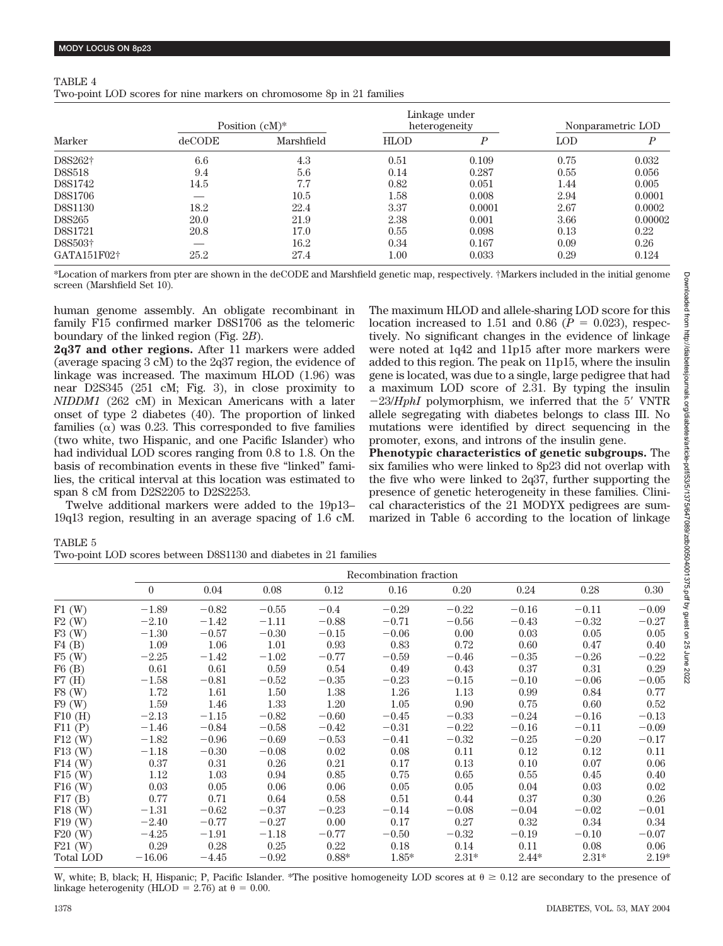# TABLE 4

Two-point LOD scores for nine markers on chromosome 8p in 21 families

| Marker              |        | Position $(cM)^*$ |             | Linkage under<br>heterogeneity | Nonparametric LOD |         |
|---------------------|--------|-------------------|-------------|--------------------------------|-------------------|---------|
|                     | deCODE | Marshfield        | <b>HLOD</b> | P                              | <b>LOD</b>        | D       |
| D8S262+             | 6.6    | 4.3               | 0.51        | 0.109                          | 0.75              | 0.032   |
| <b>D8S518</b>       | 9.4    | 5.6               | 0.14        | 0.287                          | 0.55              | 0.056   |
| D8S1742             | 14.5   | 7.7               | 0.82        | 0.051                          | 1.44              | 0.005   |
| D8S1706             |        | 10.5              | 1.58        | 0.008                          | 2.94              | 0.0001  |
| D8S1130             | 18.2   | 22.4              | 3.37        | 0.0001                         | 2.67              | 0.0002  |
| D8S265              | 20.0   | 21.9              | 2.38        | 0.001                          | 3.66              | 0.00002 |
| D8S1721             | 20.8   | 17.0              | 0.55        | 0.098                          | 0.13              | 0.22    |
| D8S503 <sup>+</sup> |        | 16.2              | 0.34        | 0.167                          | 0.09              | 0.26    |
| GATA151F02+         | 25.2   | 27.4              | $1.00\,$    | 0.033                          | 0.29              | 0.124   |

\*Location of markers from pter are shown in the deCODE and Marshfield genetic map, respectively. †Markers included in the initial genome screen (Marshfield Set 10).

human genome assembly. An obligate recombinant in family F15 confirmed marker D8S1706 as the telomeric boundary of the linked region (Fig. 2*B*).

**2q37 and other regions.** After 11 markers were added (average spacing 3 cM) to the 2q37 region, the evidence of linkage was increased. The maximum HLOD (1.96) was near D2S345 (251 cM; Fig. 3), in close proximity to *NIDDM1* (262 cM) in Mexican Americans with a later onset of type 2 diabetes (40). The proportion of linked families  $(\alpha)$  was 0.23. This corresponded to five families (two white, two Hispanic, and one Pacific Islander) who had individual LOD scores ranging from 0.8 to 1.8. On the basis of recombination events in these five "linked" families, the critical interval at this location was estimated to span 8 cM from D2S2205 to D2S2253.

Twelve additional markers were added to the 19p13– 19q13 region, resulting in an average spacing of 1.6 cM. The maximum HLOD and allele-sharing LOD score for this location increased to 1.51 and 0.86  $(P = 0.023)$ , respectively. No significant changes in the evidence of linkage were noted at 1q42 and 11p15 after more markers were added to this region. The peak on 11p15, where the insulin gene is located, was due to a single, large pedigree that had a maximum LOD score of 2.31. By typing the insulin  $-23/HphI$  polymorphism, we inferred that the 5' VNTR allele segregating with diabetes belongs to class III. No mutations were identified by direct sequencing in the promoter, exons, and introns of the insulin gene.

**Phenotypic characteristics of genetic subgroups.** The six families who were linked to 8p23 did not overlap with the five who were linked to 2q37, further supporting the presence of genetic heterogeneity in these families. Clinical characteristics of the 21 MODYX pedigrees are summarized in Table 6 according to the location of linkage

TABLE 5

|           | Recombination fraction |         |         |         |         |         |         |         |          |
|-----------|------------------------|---------|---------|---------|---------|---------|---------|---------|----------|
|           | $\overline{0}$         | 0.04    | 0.08    | 0.12    | 0.16    | 0.20    | 0.24    | 0.28    | $0.30\,$ |
| F1(W)     | $-1.89$                | $-0.82$ | $-0.55$ | $-0.4$  | $-0.29$ | $-0.22$ | $-0.16$ | $-0.11$ | $-0.09$  |
| F2(W)     | $-2.10$                | $-1.42$ | $-1.11$ | $-0.88$ | $-0.71$ | $-0.56$ | $-0.43$ | $-0.32$ | $-0.27$  |
| F3(W)     | $-1.30$                | $-0.57$ | $-0.30$ | $-0.15$ | $-0.06$ | 0.00    | 0.03    | 0.05    | 0.05     |
| F4(B)     | 1.09                   | 1.06    | 1.01    | 0.93    | 0.83    | 0.72    | 0.60    | 0.47    | 0.40     |
| F5(W)     | $-2.25$                | $-1.42$ | $-1.02$ | $-0.77$ | $-0.59$ | $-0.46$ | $-0.35$ | $-0.26$ | $-0.22$  |
| F6(B)     | 0.61                   | 0.61    | 0.59    | 0.54    | 0.49    | 0.43    | 0.37    | 0.31    | 0.29     |
| F7(H)     | $-1.58$                | $-0.81$ | $-0.52$ | $-0.35$ | $-0.23$ | $-0.15$ | $-0.10$ | $-0.06$ | $-0.05$  |
| F8(W)     | 1.72                   | 1.61    | 1.50    | 1.38    | 1.26    | 1.13    | 0.99    | 0.84    | 0.77     |
| F9(W)     | 1.59                   | 1.46    | 1.33    | 1.20    | 1.05    | 0.90    | 0.75    | 0.60    | 0.52     |
| F10(H)    | $-2.13$                | $-1.15$ | $-0.82$ | $-0.60$ | $-0.45$ | $-0.33$ | $-0.24$ | $-0.16$ | $-0.13$  |
| F11(P)    | $-1.46$                | $-0.84$ | $-0.58$ | $-0.42$ | $-0.31$ | $-0.22$ | $-0.16$ | $-0.11$ | $-0.09$  |
| $F12$ (W) | $-1.82$                | $-0.96$ | $-0.69$ | $-0.53$ | $-0.41$ | $-0.32$ | $-0.25$ | $-0.20$ | $-0.17$  |
| $F13$ (W) | $-1.18$                | $-0.30$ | $-0.08$ | 0.02    | 0.08    | 0.11    | 0.12    | 0.12    | 0.11     |
| $F14$ (W) | 0.37                   | 0.31    | 0.26    | 0.21    | 0.17    | 0.13    | 0.10    | 0.07    | 0.06     |
| $F15$ (W) | 1.12                   | 1.03    | 0.94    | 0.85    | 0.75    | 0.65    | 0.55    | 0.45    | 0.40     |
| $F16$ (W) | 0.03                   | 0.05    | 0.06    | 0.06    | 0.05    | 0.05    | 0.04    | 0.03    | 0.02     |
| F17(B)    | 0.77                   | 0.71    | 0.64    | 0.58    | 0.51    | 0.44    | 0.37    | 0.30    | 0.26     |
| $F18$ (W) | $-1.31$                | $-0.62$ | $-0.37$ | $-0.23$ | $-0.14$ | $-0.08$ | $-0.04$ | $-0.02$ | $-0.01$  |
| $F19$ (W) | $-2.40$                | $-0.77$ | $-0.27$ | 0.00    | 0.17    | 0.27    | 0.32    | 0.34    | 0.34     |
| $F20$ (W) | $-4.25$                | $-1.91$ | $-1.18$ | $-0.77$ | $-0.50$ | $-0.32$ | $-0.19$ | $-0.10$ | $-0.07$  |
| $F21$ (W) | 0.29                   | 0.28    | 0.25    | 0.22    | 0.18    | 0.14    | 0.11    | 0.08    | 0.06     |
| Total LOD | $-16.06$               | $-4.45$ | $-0.92$ | $0.88*$ | $1.85*$ | $2.31*$ | $2.44*$ | $2.31*$ | $2.19*$  |

W, white; B, black; H, Hispanic; P, Pacific Islander. \*The positive homogeneity LOD scores at  $\theta \ge 0.12$  are secondary to the presence of linkage heterogenity (HLOD = 2.76) at  $\theta = 0.00$ .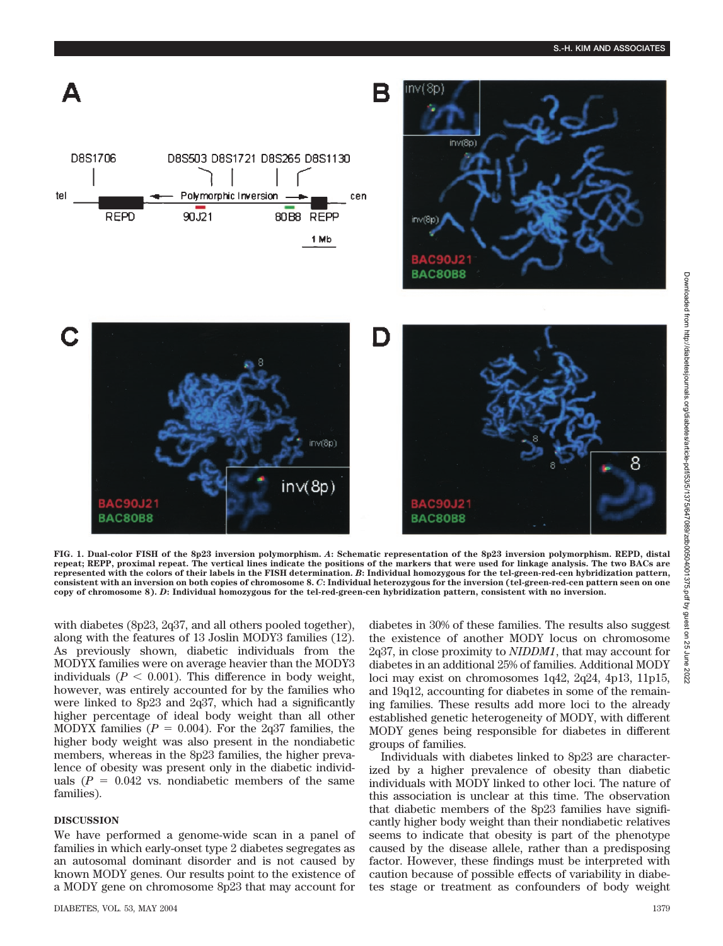

**FIG. 1. Dual-color FISH of the 8p23 inversion polymorphism.** *A***: Schematic representation of the 8p23 inversion polymorphism. REPD, distal repeat; REPP, proximal repeat. The vertical lines indicate the positions of the markers that were used for linkage analysis. The two BACs are represented with the colors of their labels in the FISH determination.** *B***: Individual homozygous for the tel-green-red-cen hybridization pattern, consistent with an inversion on both copies of chromosome 8.** *C***: Individual heterozygous for the inversion (tel-green-red-cen pattern seen on one copy of chromosome 8).** *D***: Individual homozygous for the tel-red-green-cen hybridization pattern, consistent with no inversion.**

with diabetes (8p23, 2q37, and all others pooled together), along with the features of 13 Joslin MODY3 families (12). As previously shown, diabetic individuals from the MODYX families were on average heavier than the MODY3 individuals  $(P < 0.001)$ . This difference in body weight, however, was entirely accounted for by the families who were linked to 8p23 and 2q37, which had a significantly higher percentage of ideal body weight than all other MODYX families  $(P = 0.004)$ . For the 2q37 families, the higher body weight was also present in the nondiabetic members, whereas in the 8p23 families, the higher prevalence of obesity was present only in the diabetic individuals  $(P = 0.042$  vs. nondiabetic members of the same families).

## **DISCUSSION**

We have performed a genome-wide scan in a panel of families in which early-onset type 2 diabetes segregates as an autosomal dominant disorder and is not caused by known MODY genes. Our results point to the existence of a MODY gene on chromosome 8p23 that may account for diabetes in 30% of these families. The results also suggest the existence of another MODY locus on chromosome 2q37, in close proximity to *NIDDM1*, that may account for diabetes in an additional 25% of families. Additional MODY loci may exist on chromosomes 1q42, 2q24, 4p13, 11p15, and 19q12, accounting for diabetes in some of the remaining families. These results add more loci to the already established genetic heterogeneity of MODY, with different MODY genes being responsible for diabetes in different groups of families.

Individuals with diabetes linked to 8p23 are characterized by a higher prevalence of obesity than diabetic individuals with MODY linked to other loci. The nature of this association is unclear at this time. The observation that diabetic members of the 8p23 families have significantly higher body weight than their nondiabetic relatives seems to indicate that obesity is part of the phenotype caused by the disease allele, rather than a predisposing factor. However, these findings must be interpreted with caution because of possible effects of variability in diabetes stage or treatment as confounders of body weight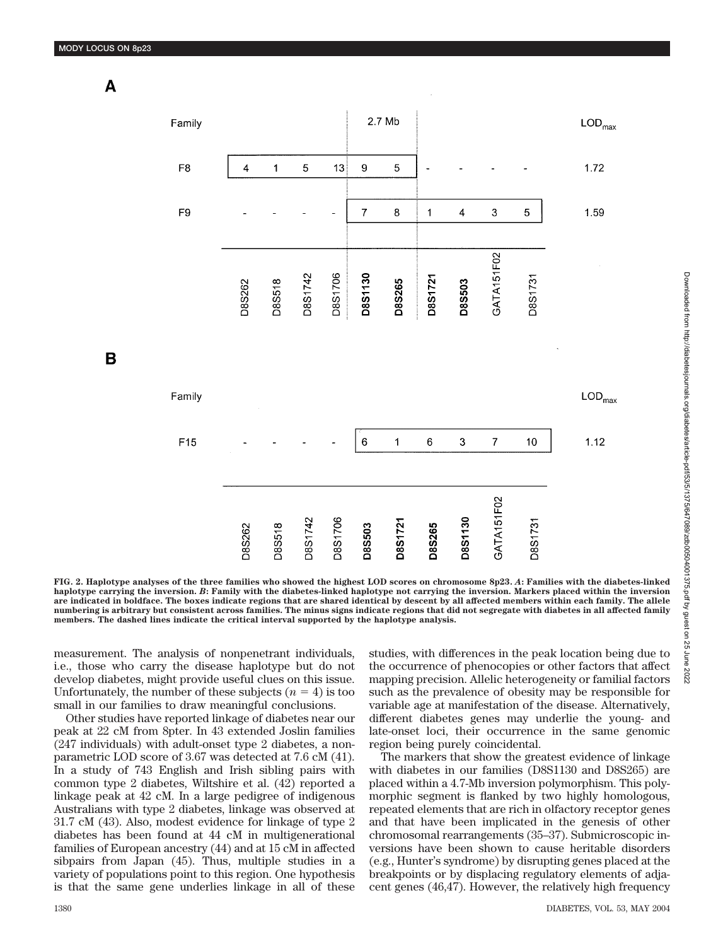A

B



**FIG. 2. Haplotype analyses of the three families who showed the highest LOD scores on chromosome 8p23.** *A***: Families with the diabetes-linked haplotype carrying the inversion.** *B***: Family with the diabetes-linked haplotype not carrying the inversion. Markers placed within the inversion are indicated in boldface. The boxes indicate regions that are shared identical by descent by all affected members within each family. The allele numbering is arbitrary but consistent across families. The minus signs indicate regions that did not segregate with diabetes in all affected family members. The dashed lines indicate the critical interval supported by the haplotype analysis.**

measurement. The analysis of nonpenetrant individuals, i.e., those who carry the disease haplotype but do not develop diabetes, might provide useful clues on this issue. Unfortunately, the number of these subjects  $(n = 4)$  is too small in our families to draw meaningful conclusions.

Other studies have reported linkage of diabetes near our peak at 22 cM from 8pter. In 43 extended Joslin families (247 individuals) with adult-onset type 2 diabetes, a nonparametric LOD score of 3.67 was detected at 7.6 cM (41). In a study of 743 English and Irish sibling pairs with common type 2 diabetes, Wiltshire et al. (42) reported a linkage peak at 42 cM. In a large pedigree of indigenous Australians with type 2 diabetes, linkage was observed at 31.7 cM (43). Also, modest evidence for linkage of type 2 diabetes has been found at 44 cM in multigenerational families of European ancestry (44) and at 15 cM in affected sibpairs from Japan (45). Thus, multiple studies in a variety of populations point to this region. One hypothesis is that the same gene underlies linkage in all of these

studies, with differences in the peak location being due to the occurrence of phenocopies or other factors that affect mapping precision. Allelic heterogeneity or familial factors such as the prevalence of obesity may be responsible for variable age at manifestation of the disease. Alternatively, different diabetes genes may underlie the young- and late-onset loci, their occurrence in the same genomic region being purely coincidental.

The markers that show the greatest evidence of linkage with diabetes in our families (D8S1130 and D8S265) are placed within a 4.7-Mb inversion polymorphism. This polymorphic segment is flanked by two highly homologous, repeated elements that are rich in olfactory receptor genes and that have been implicated in the genesis of other chromosomal rearrangements (35–37). Submicroscopic inversions have been shown to cause heritable disorders (e.g., Hunter's syndrome) by disrupting genes placed at the breakpoints or by displacing regulatory elements of adjacent genes (46,47). However, the relatively high frequency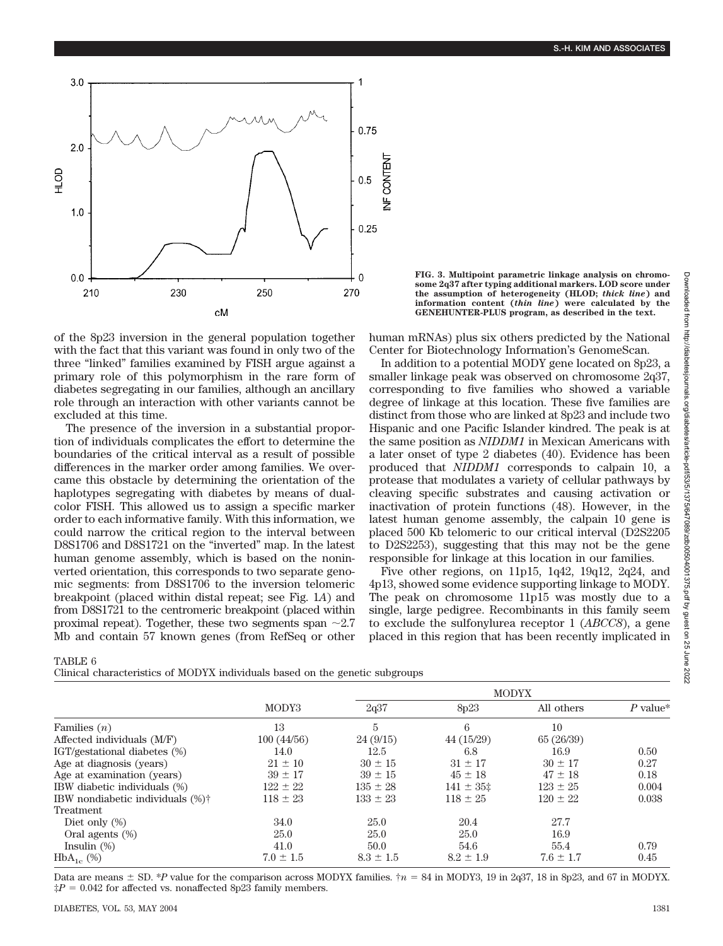

**FIG. 3. Multipoint parametric linkage analysis on chromosome 2q37 after typing additional markers. LOD score under the assumption of heterogeneity (HLOD;** *thick line***) and information content (***thin line***) were calculated by the GENEHUNTER-PLUS program, as described in the text.**

of the 8p23 inversion in the general population together with the fact that this variant was found in only two of the three "linked" families examined by FISH argue against a primary role of this polymorphism in the rare form of diabetes segregating in our families, although an ancillary role through an interaction with other variants cannot be excluded at this time.

The presence of the inversion in a substantial proportion of individuals complicates the effort to determine the boundaries of the critical interval as a result of possible differences in the marker order among families. We overcame this obstacle by determining the orientation of the haplotypes segregating with diabetes by means of dualcolor FISH. This allowed us to assign a specific marker order to each informative family. With this information, we could narrow the critical region to the interval between D8S1706 and D8S1721 on the "inverted" map. In the latest human genome assembly, which is based on the noninverted orientation, this corresponds to two separate genomic segments: from D8S1706 to the inversion telomeric breakpoint (placed within distal repeat; see Fig. 1*A*) and from D8S1721 to the centromeric breakpoint (placed within proximal repeat). Together, these two segments span  $\sim 2.7$ Mb and contain 57 known genes (from RefSeq or other

human mRNAs) plus six others predicted by the National Center for Biotechnology Information's GenomeScan.

In addition to a potential MODY gene located on 8p23, a smaller linkage peak was observed on chromosome 2q37, corresponding to five families who showed a variable degree of linkage at this location. These five families are distinct from those who are linked at 8p23 and include two Hispanic and one Pacific Islander kindred. The peak is at the same position as *NIDDM1* in Mexican Americans with a later onset of type 2 diabetes (40). Evidence has been produced that *NIDDM1* corresponds to calpain 10, a protease that modulates a variety of cellular pathways by cleaving specific substrates and causing activation or inactivation of protein functions (48). However, in the latest human genome assembly, the calpain 10 gene is placed 500 Kb telomeric to our critical interval (D2S2205 to D2S2253), suggesting that this may not be the gene responsible for linkage at this location in our families.

Five other regions, on 11p15, 1q42, 19q12, 2q24, and 4p13, showed some evidence supporting linkage to MODY. The peak on chromosome 11p15 was mostly due to a single, large pedigree. Recombinants in this family seem to exclude the sulfonylurea receptor 1 (*ABCC8*), a gene placed in this region that has been recently implicated in

## TABLE 6

Clinical characteristics of MODYX individuals based on the genetic subgroups

|                                              |               | <b>MODYX</b>  |                |               |            |  |
|----------------------------------------------|---------------|---------------|----------------|---------------|------------|--|
|                                              | MODY3         | 2q37          | 8p23           | All others    | $P$ value* |  |
| Families $(n)$                               | 13            | 5             | 6              | 10            |            |  |
| Affected individuals (M/F)                   | 100(44/56)    | 24(9/15)      | 44 (15/29)     | 65 (26/39)    |            |  |
| IGT/gestational diabetes (%)                 | 14.0          | 12.5          | 6.8            | 16.9          | 0.50       |  |
| Age at diagnosis (years)                     | $21 \pm 10$   | $30 \pm 15$   | $31 \pm 17$    | $30 \pm 17$   | 0.27       |  |
| Age at examination (years)                   | $39 \pm 17$   | $39 \pm 15$   | $45 \pm 18$    | $47 \pm 18$   | 0.18       |  |
| IBW diabetic individuals (%)                 | $122 \pm 22$  | $135 \pm 28$  | $141 \pm 35$ ‡ | $123 \pm 25$  | 0.004      |  |
| IBW nondiabetic individuals (%) <sup>†</sup> | $118 \pm 23$  | $133 \pm 23$  | $118 \pm 25$   | $120 \pm 22$  | 0.038      |  |
| Treatment                                    |               |               |                |               |            |  |
| Diet only $(\%)$                             | 34.0          | 25.0          | 20.4           | 27.7          |            |  |
| Oral agents $(\%)$                           | 25.0          | 25.0          | 25.0           | 16.9          |            |  |
| Insulin $(\%)$                               | 41.0          | 50.0          | 54.6           | 55.4          | 0.79       |  |
| $HbA_{1c}$ (%)                               | $7.0 \pm 1.5$ | $8.3 \pm 1.5$ | $8.2 \pm 1.9$  | $7.6 \pm 1.7$ | 0.45       |  |

Data are means  $\pm$  SD. \**P* value for the comparison across MODYX families.  $\tau$  = 84 in MODY3, 19 in 2q37, 18 in 8p23, and 67 in MODYX.  $\ddagger P = 0.042$  for affected vs. nonaffected 8p23 family members.

 $\overline{55}$ June 2022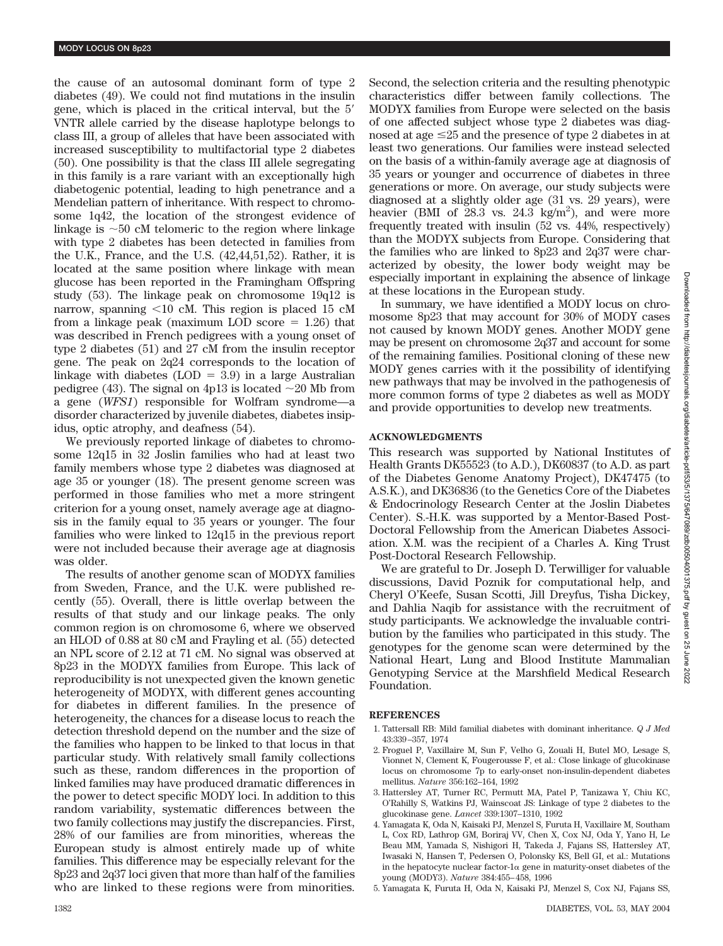the cause of an autosomal dominant form of type 2 diabetes (49). We could not find mutations in the insulin gene, which is placed in the critical interval, but the 5 VNTR allele carried by the disease haplotype belongs to class III, a group of alleles that have been associated with increased susceptibility to multifactorial type 2 diabetes (50). One possibility is that the class III allele segregating in this family is a rare variant with an exceptionally high diabetogenic potential, leading to high penetrance and a Mendelian pattern of inheritance. With respect to chromosome 1q42, the location of the strongest evidence of linkage is  $\sim 50$  cM telomeric to the region where linkage with type 2 diabetes has been detected in families from the U.K., France, and the U.S. (42,44,51,52). Rather, it is located at the same position where linkage with mean glucose has been reported in the Framingham Offspring study (53). The linkage peak on chromosome 19q12 is narrow, spanning  $\leq 10$  cM. This region is placed 15 cM from a linkage peak (maximum LOD score  $= 1.26$ ) that was described in French pedigrees with a young onset of type 2 diabetes (51) and 27 cM from the insulin receptor gene. The peak on 2q24 corresponds to the location of linkage with diabetes (LOD  $=$  3.9) in a large Australian pedigree (43). The signal on 4p13 is located  $\sim$ 20 Mb from a gene (*WFS1*) responsible for Wolfram syndrome—a disorder characterized by juvenile diabetes, diabetes insipidus, optic atrophy, and deafness (54).

We previously reported linkage of diabetes to chromosome 12q15 in 32 Joslin families who had at least two family members whose type 2 diabetes was diagnosed at age 35 or younger (18). The present genome screen was performed in those families who met a more stringent criterion for a young onset, namely average age at diagnosis in the family equal to 35 years or younger. The four families who were linked to 12q15 in the previous report were not included because their average age at diagnosis was older.

The results of another genome scan of MODYX families from Sweden, France, and the U.K. were published recently (55). Overall, there is little overlap between the results of that study and our linkage peaks. The only common region is on chromosome 6, where we observed an HLOD of 0.88 at 80 cM and Frayling et al. (55) detected an NPL score of 2.12 at 71 cM. No signal was observed at 8p23 in the MODYX families from Europe. This lack of reproducibility is not unexpected given the known genetic heterogeneity of MODYX, with different genes accounting for diabetes in different families. In the presence of heterogeneity, the chances for a disease locus to reach the detection threshold depend on the number and the size of the families who happen to be linked to that locus in that particular study. With relatively small family collections such as these, random differences in the proportion of linked families may have produced dramatic differences in the power to detect specific MODY loci. In addition to this random variability, systematic differences between the two family collections may justify the discrepancies. First, 28% of our families are from minorities, whereas the European study is almost entirely made up of white families. This difference may be especially relevant for the 8p23 and 2q37 loci given that more than half of the families who are linked to these regions were from minorities.

Second, the selection criteria and the resulting phenotypic characteristics differ between family collections. The MODYX families from Europe were selected on the basis of one affected subject whose type 2 diabetes was diagnosed at age  $\leq$ 25 and the presence of type 2 diabetes in at least two generations. Our families were instead selected on the basis of a within-family average age at diagnosis of 35 years or younger and occurrence of diabetes in three generations or more. On average, our study subjects were diagnosed at a slightly older age (31 vs. 29 years), were heavier (BMI of  $28.3$  vs.  $24.3$  kg/m<sup>2</sup>), and were more frequently treated with insulin (52 vs. 44%, respectively) than the MODYX subjects from Europe. Considering that the families who are linked to 8p23 and 2q37 were characterized by obesity, the lower body weight may be especially important in explaining the absence of linkage at these locations in the European study.

In summary, we have identified a MODY locus on chromosome 8p23 that may account for 30% of MODY cases not caused by known MODY genes. Another MODY gene may be present on chromosome 2q37 and account for some of the remaining families. Positional cloning of these new MODY genes carries with it the possibility of identifying new pathways that may be involved in the pathogenesis of more common forms of type 2 diabetes as well as MODY and provide opportunities to develop new treatments.

## **ACKNOWLEDGMENTS**

This research was supported by National Institutes of Health Grants DK55523 (to A.D.), DK60837 (to A.D. as part of the Diabetes Genome Anatomy Project), DK47475 (to A.S.K.), and DK36836 (to the Genetics Core of the Diabetes & Endocrinology Research Center at the Joslin Diabetes Center). S.-H.K. was supported by a Mentor-Based Post-Doctoral Fellowship from the American Diabetes Association. X.M. was the recipient of a Charles A. King Trust Post-Doctoral Research Fellowship.

We are grateful to Dr. Joseph D. Terwilliger for valuable discussions, David Poznik for computational help, and Cheryl O'Keefe, Susan Scotti, Jill Dreyfus, Tisha Dickey, and Dahlia Naqib for assistance with the recruitment of study participants. We acknowledge the invaluable contribution by the families who participated in this study. The genotypes for the genome scan were determined by the National Heart, Lung and Blood Institute Mammalian Genotyping Service at the Marshfield Medical Research Foundation.

# **REFERENCES**

- 1. Tattersall RB: Mild familial diabetes with dominant inheritance. *Q J Med* 43:339–357, 1974
- 2. Froguel P, Vaxillaire M, Sun F, Velho G, Zouali H, Butel MO, Lesage S, Vionnet N, Clement K, Fougerousse F, et al.: Close linkage of glucokinase locus on chromosome 7p to early-onset non-insulin-dependent diabetes mellitus. *Nature* 356:162–164, 1992
- 3. Hattersley AT, Turner RC, Permutt MA, Patel P, Tanizawa Y, Chiu KC, O'Rahilly S, Watkins PJ, Wainscoat JS: Linkage of type 2 diabetes to the glucokinase gene. *Lancet* 339:1307–1310, 1992
- 4. Yamagata K, Oda N, Kaisaki PJ, Menzel S, Furuta H, Vaxillaire M, Southam L, Cox RD, Lathrop GM, Boriraj VV, Chen X, Cox NJ, Oda Y, Yano H, Le Beau MM, Yamada S, Nishigori H, Takeda J, Fajans SS, Hattersley AT, Iwasaki N, Hansen T, Pedersen O, Polonsky KS, Bell GI, et al.: Mutations in the hepatocyte nuclear factor- $1\alpha$  gene in maturity-onset diabetes of the young (MODY3). *Nature* 384:455–458, 1996
- 5. Yamagata K, Furuta H, Oda N, Kaisaki PJ, Menzel S, Cox NJ, Fajans SS,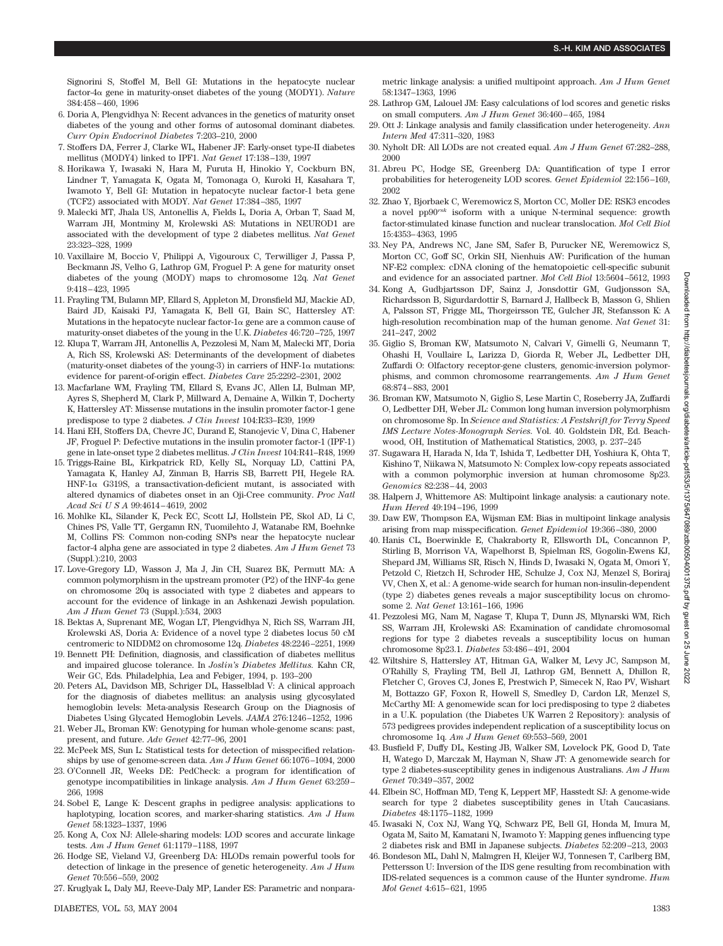Signorini S, Stoffel M, Bell GI: Mutations in the hepatocyte nuclear factor-4 $\alpha$  gene in maturity-onset diabetes of the young (MODY1). *Nature* 384:458–460, 1996

- 6. Doria A, Plengvidhya N: Recent advances in the genetics of maturity onset diabetes of the young and other forms of autosomal dominant diabetes. *Curr Opin Endocrinol Diabetes* 7:203–210, 2000
- 7. Stoffers DA, Ferrer J, Clarke WL, Habener JF: Early-onset type-II diabetes mellitus (MODY4) linked to IPF1. *Nat Genet* 17:138–139, 1997
- 8. Horikawa Y, Iwasaki N, Hara M, Furuta H, Hinokio Y, Cockburn BN, Lindner T, Yamagata K, Ogata M, Tomonaga O, Kuroki H, Kasahara T, Iwamoto Y, Bell GI: Mutation in hepatocyte nuclear factor-1 beta gene (TCF2) associated with MODY. *Nat Genet* 17:384–385, 1997
- 9. Malecki MT, Jhala US, Antonellis A, Fields L, Doria A, Orban T, Saad M, Warram JH, Montminy M, Krolewski AS: Mutations in NEUROD1 are associated with the development of type 2 diabetes mellitus. *Nat Genet* 23:323–328, 1999
- 10. Vaxillaire M, Boccio V, Philippi A, Vigouroux C, Terwilliger J, Passa P, Beckmann JS, Velho G, Lathrop GM, Froguel P: A gene for maturity onset diabetes of the young (MODY) maps to chromosome 12q. *Nat Genet* 9:418–423, 1995
- 11. Frayling TM, Bulamn MP, Ellard S, Appleton M, Dronsfield MJ, Mackie AD, Baird JD, Kaisaki PJ, Yamagata K, Bell GI, Bain SC, Hattersley AT: Mutations in the hepatocyte nuclear factor- $1\alpha$  gene are a common cause of maturity-onset diabetes of the young in the U.K. *Diabetes* 46:720–725, 1997
- 12. Klupa T, Warram JH, Antonellis A, Pezzolesi M, Nam M, Malecki MT, Doria A, Rich SS, Krolewski AS: Determinants of the development of diabetes (maturity-onset diabetes of the young-3) in carriers of  $HNF-1\alpha$  mutations: evidence for parent-of-origin effect. *Diabetes Care* 25:2292–2301, 2002
- 13. Macfarlane WM, Frayling TM, Ellard S, Evans JC, Allen LI, Bulman MP, Ayres S, Shepherd M, Clark P, Millward A, Demaine A, Wilkin T, Docherty K, Hattersley AT: Missense mutations in the insulin promoter factor-1 gene predispose to type 2 diabetes. *J Clin Invest* 104:R33–R39, 1999
- 14. Hani EH, Stoffers DA, Chevre JC, Durand E, Stanojevic V, Dina C, Habener JF, Froguel P: Defective mutations in the insulin promoter factor-1 (IPF-1) gene in late-onset type 2 diabetes mellitus. *J Clin Invest* 104:R41–R48, 1999
- 15. Triggs-Raine BL, Kirkpatrick RD, Kelly SL, Norquay LD, Cattini PA, Yamagata K, Hanley AJ, Zinman B, Harris SB, Barrett PH, Hegele RA. HNF-1 $\alpha$  G319S, a transactivation-deficient mutant, is associated with altered dynamics of diabetes onset in an Oji-Cree community. *Proc Natl Acad SciUSA* 99:4614–4619, 2002
- 16. Mohlke KL, Silander K, Peck EC, Scott LJ, Hollstein PE, Skol AD, Li C, Chines PS, Valle TT, Gergamn RN, Tuomilehto J, Watanabe RM, Boehnke M, Collins FS: Common non-coding SNPs near the hepatocyte nuclear factor-4 alpha gene are associated in type 2 diabetes. *Am J Hum Genet* 73 (Suppl.):210, 2003
- 17. Love-Gregory LD, Wasson J, Ma J, Jin CH, Suarez BK, Permutt MA: A common polymorphism in the upstream promoter (P2) of the HNF-4 $\alpha$  gene on chromosome 20q is associated with type 2 diabetes and appears to account for the evidence of linkage in an Ashkenazi Jewish population. *Am J Hum Genet* 73 (Suppl.):534, 2003
- 18. Bektas A, Suprenant ME, Wogan LT, Plengvidhya N, Rich SS, Warram JH, Krolewski AS, Doria A: Evidence of a novel type 2 diabetes locus 50 cM centromeric to NIDDM2 on chromosome 12q. *Diabetes* 48:2246–2251, 1999
- 19. Bennett PH: Definition, diagnosis, and classification of diabetes mellitus and impaired glucose tolerance. In *Joslin's Diabetes Mellitus.* Kahn CR, Weir GC, Eds*.* Philadelphia, Lea and Febiger, 1994, p. 193–200
- 20. Peters AL, Davidson MB, Schriger DL, Hasselblad V: A clinical approach for the diagnosis of diabetes mellitus: an analysis using glycosylated hemoglobin levels: Meta-analysis Research Group on the Diagnosis of Diabetes Using Glycated Hemoglobin Levels. *JAMA* 276:1246–1252, 1996
- 21. Weber JL, Broman KW: Genotyping for human whole-genome scans: past, present, and future. *Adv Genet* 42:77–96, 2001
- 22. McPeek MS, Sun L: Statistical tests for detection of misspecified relationships by use of genome-screen data. *Am J Hum Genet* 66:1076–1094, 2000
- 23. O'Connell JR, Weeks DE: PedCheck: a program for identification of genotype incompatibilities in linkage analysis. *Am J Hum Genet* 63:259– 266, 1998
- 24. Sobel E, Lange K: Descent graphs in pedigree analysis: applications to haplotyping, location scores, and marker-sharing statistics. *Am J Hum Genet* 58:1323–1337, 1996
- 25. Kong A, Cox NJ: Allele-sharing models: LOD scores and accurate linkage tests. *Am J Hum Genet* 61:1179–1188, 1997
- 26. Hodge SE, Vieland VJ, Greenberg DA: HLODs remain powerful tools for detection of linkage in the presence of genetic heterogeneity. *Am J Hum Genet* 70:556–559, 2002
- 27. Kruglyak L, Daly MJ, Reeve-Daly MP, Lander ES: Parametric and nonpara-

metric linkage analysis: a unified multipoint approach. *Am J Hum Genet* 58:1347–1363, 1996

- 28. Lathrop GM, Lalouel JM: Easy calculations of lod scores and genetic risks on small computers. *Am J Hum Genet* 36:460–465, 1984
- 29. Ott J: Linkage analysis and family classification under heterogeneity. *Ann Intern Med* 47:311–320, 1983
- 30. Nyholt DR: All LODs are not created equal. *Am J Hum Genet* 67:282–288, 2000
- 31. Abreu PC, Hodge SE, Greenberg DA: Quantification of type I error probabilities for heterogeneity LOD scores. *Genet Epidemiol* 22:156–169, 2002
- 32. Zhao Y, Bjorbaek C, Weremowicz S, Morton CC, Moller DE: RSK3 encodes a novel pp90*rsk* isoform with a unique N-terminal sequence: growth factor-stimulated kinase function and nuclear translocation. *Mol Cell Biol* 15:4353–4363, 1995
- 33. Ney PA, Andrews NC, Jane SM, Safer B, Purucker NE, Weremowicz S, Morton CC, Goff SC, Orkin SH, Nienhuis AW: Purification of the human NF-E2 complex: cDNA cloning of the hematopoietic cell-specific subunit and evidence for an associated partner. *Mol Cell Biol* 13:5604–5612, 1993
- 34. Kong A, Gudbjartsson DF, Sainz J, Jonsdottir GM, Gudjonsson SA, Richardsson B, Sigurdardottir S, Barnard J, Hallbeck B, Masson G, Shlien A, Palsson ST, Frigge ML, Thorgeirsson TE, Gulcher JR, Stefansson K: A high-resolution recombination map of the human genome. *Nat Genet* 31: 241–247, 2002
- 35. Giglio S, Broman KW, Matsumoto N, Calvari V, Gimelli G, Neumann T, Ohashi H, Voullaire L, Larizza D, Giorda R, Weber JL, Ledbetter DH, Zuffardi O: Olfactory receptor-gene clusters, genomic-inversion polymorphisms, and common chromosome rearrangements. *Am J Hum Genet* 68:874–883, 2001
- 36. Broman KW, Matsumoto N, Giglio S, Lese Martin C, Roseberry JA, Zuffardi O, Ledbetter DH, Weber JL: Common long human inversion polymorphism on chromosome 8p. In *Science and Statistics: A Festshrift for Terry Speed IMS Lecture Notes-Monograph Series.* Vol. 40. Goldstein DR, Ed. Beachwood, OH, Institution of Mathematical Statistics, 2003, p. 237–245
- 37. Sugawara H, Harada N, Ida T, Ishida T, Ledbetter DH, Yoshiura K, Ohta T, Kishino T, Niikawa N, Matsumoto N: Complex low-copy repeats associated with a common polymorphic inversion at human chromosome 8p23. *Genomics* 82:238–44, 2003
- 38. Halpern J, Whittemore AS: Multipoint linkage analysis: a cautionary note. *Hum Hered* 49:194–196, 1999
- 39. Daw EW, Thompson EA, Wijsman EM: Bias in multipoint linkage analysis arising from map misspecification. *Genet Epidemiol* 19:366–380, 2000
- 40. Hanis CL, Boerwinkle E, Chakraborty R, Ellsworth DL, Concannon P, Stirling B, Morrison VA, Wapelhorst B, Spielman RS, Gogolin-Ewens KJ, Shepard JM, Williams SR, Risch N, Hinds D, Iwasaki N, Ogata M, Omori Y, Petzold C, Rietzch H, Schroder HE, Schulze J, Cox NJ, Menzel S, Boriraj VV, Chen X, et al.: A genome-wide search for human non-insulin-dependent (type 2) diabetes genes reveals a major susceptibility locus on chromosome 2. *Nat Genet* 13:161–166, 1996
- 41. Pezzolesi MG, Nam M, Nagase T, Klupa T, Dunn JS, Mlynarski WM, Rich SS, Warram JH, Krolewski AS: Examination of candidate chromosomal regions for type 2 diabetes reveals a susceptibility locus on human chromosome 8p23.1. *Diabetes* 53:486–491, 2004
- 42. Wiltshire S, Hattersley AT, Hitman GA, Walker M, Levy JC, Sampson M, O'Rahilly S, Frayling TM, Bell JI, Lathrop GM, Bennett A, Dhillon R, Fletcher C, Groves CJ, Jones E, Prestwich P, Simecek N, Rao PV, Wishart M, Bottazzo GF, Foxon R, Howell S, Smedley D, Cardon LR, Menzel S, McCarthy MI: A genomewide scan for loci predisposing to type 2 diabetes in a U.K. population (the Diabetes UK Warren 2 Repository): analysis of 573 pedigrees provides independent replication of a susceptibility locus on chromosome 1q. *Am J Hum Genet* 69:553–569, 2001
- 43. Busfield F, Duffy DL, Kesting JB, Walker SM, Lovelock PK, Good D, Tate H, Watego D, Marczak M, Hayman N, Shaw JT: A genomewide search for type 2 diabetes-susceptibility genes in indigenous Australians. *Am J Hum Genet* 70:349–357, 2002
- 44. Elbein SC, Hoffman MD, Teng K, Leppert MF, Hasstedt SJ: A genome-wide search for type 2 diabetes susceptibility genes in Utah Caucasians. *Diabetes* 48:1175–1182, 1999
- 45. Iwasaki N, Cox NJ, Wang YQ, Schwarz PE, Bell GI, Honda M, Imura M, Ogata M, Saito M, Kamatani N, Iwamoto Y: Mapping genes influencing type 2 diabetes risk and BMI in Japanese subjects. *Diabetes* 52:209–213, 2003
- 46. Bondeson ML, Dahl N, Malmgren H, Kleijer WJ, Tonnesen T, Carlberg BM, Pettersson U: Inversion of the IDS gene resulting from recombination with IDS-related sequences is a common cause of the Hunter syndrome. *Hum Mol Genet* 4:615–621, 1995